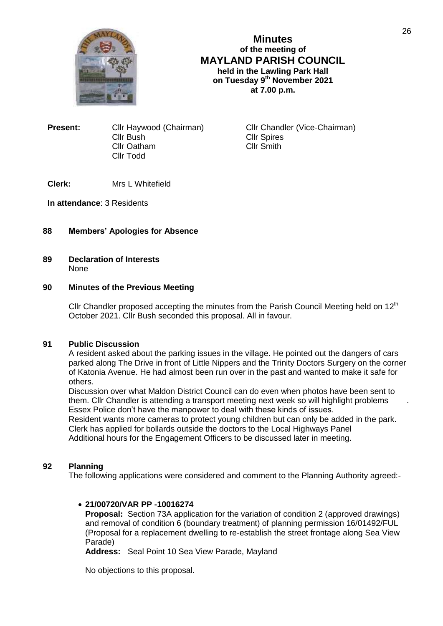

**Minutes of the meeting of MAYLAND PARISH COUNCIL held in the Lawling Park Hall on Tuesday 9 th November 2021 at 7.00 p.m.**

**Present:** Cllr Haywood (Chairman) Cllr Chandler (Vice-Chairman) Cllr Bush Cllr Spires Cllr Oatham Cllr Todd

**Clerk:** Mrs L Whitefield

**In attendance**: 3 Residents

## **88 Members' Apologies for Absence**

#### **89 Declaration of Interests** None

## **90 Minutes of the Previous Meeting**

Cllr Chandler proposed accepting the minutes from the Parish Council Meeting held on  $12<sup>th</sup>$ October 2021. Cllr Bush seconded this proposal. All in favour.

## **91 Public Discussion**

A resident asked about the parking issues in the village. He pointed out the dangers of cars parked along The Drive in front of Little Nippers and the Trinity Doctors Surgery on the corner of Katonia Avenue. He had almost been run over in the past and wanted to make it safe for others.

Discussion over what Maldon District Council can do even when photos have been sent to them. Cllr Chandler is attending a transport meeting next week so will highlight problems . Essex Police don't have the manpower to deal with these kinds of issues.

Resident wants more cameras to protect young children but can only be added in the park. Clerk has applied for bollards outside the doctors to the Local Highways Panel

Additional hours for the Engagement Officers to be discussed later in meeting.

# **92 Planning**

The following applications were considered and comment to the Planning Authority agreed:-

## **21/00720/VAR PP -10016274**

**Proposal:** Section 73A application for the variation of condition 2 (approved drawings) and removal of condition 6 (boundary treatment) of planning permission 16/01492/FUL (Proposal for a replacement dwelling to re-establish the street frontage along Sea View Parade)

**Address:** Seal Point 10 Sea View Parade, Mayland

No objections to this proposal.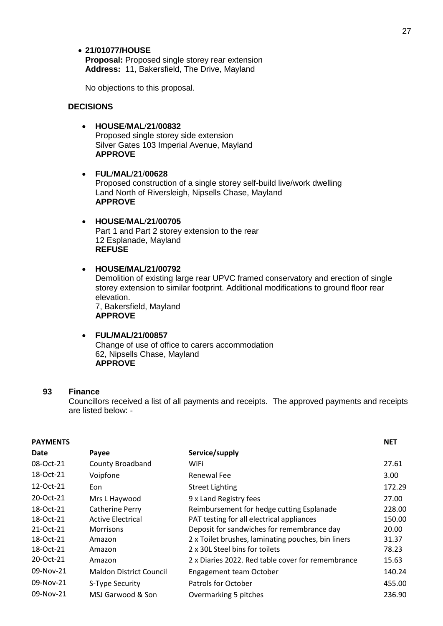## **21/01077/HOUSE**

**Proposal:** Proposed single storey rear extension **Address:** 11, Bakersfield, The Drive, Mayland

No objections to this proposal.

## **DECISIONS**

- **HOUSE**/**MAL**/**21**/**00832** Proposed single storey side extension Silver Gates 103 Imperial Avenue, Mayland **APPROVE**
- **FUL**/**MAL**/**21**/**00628** Proposed construction of a single storey self-build live/work dwelling Land North of Riversleigh, Nipsells Chase, Mayland **APPROVE**
- **HOUSE**/**MAL**/**21**/**00705** Part 1 and Part 2 storey extension to the rear 12 Esplanade, Mayland **REFUSE**

## **HOUSE/MAL/21/00792**

Demolition of existing large rear UPVC framed conservatory and erection of single storey extension to similar footprint. Additional modifications to ground floor rear elevation.

7, Bakersfield, Mayland **APPROVE**

 **FUL/MAL/21/00857** Change of use of office to carers accommodation 62, Nipsells Chase, Mayland **APPROVE**

## **93 Finance**

Councillors received a list of all payments and receipts. The approved payments and receipts are listed below: -

| <b>PAYMENTS</b> |                                |                                                    | <b>NET</b> |
|-----------------|--------------------------------|----------------------------------------------------|------------|
| Date            | Payee                          | Service/supply                                     |            |
| 08-Oct-21       | County Broadband               | WiFi                                               | 27.61      |
| 18-Oct-21       | Voipfone                       | Renewal Fee                                        | 3.00       |
| 12-Oct-21       | Eon                            | <b>Street Lighting</b>                             | 172.29     |
| 20-Oct-21       | Mrs L Haywood                  | 9 x Land Registry fees                             | 27.00      |
| 18-Oct-21       | Catherine Perry                | Reimbursement for hedge cutting Esplanade          | 228.00     |
| 18-Oct-21       | <b>Active Electrical</b>       | PAT testing for all electrical appliances          | 150.00     |
| 21-Oct-21       | <b>Morrisons</b>               | Deposit for sandwiches for remembrance day         | 20.00      |
| 18-Oct-21       | Amazon                         | 2 x Toilet brushes, laminating pouches, bin liners | 31.37      |
| 18-Oct-21       | Amazon                         | 2 x 30L Steel bins for toilets                     | 78.23      |
| 20-Oct-21       | Amazon                         | 2 x Diaries 2022. Red table cover for remembrance  | 15.63      |
| 09-Nov-21       | <b>Maldon District Council</b> | Engagement team October                            | 140.24     |
| 09-Nov-21       | S-Type Security                | Patrols for October                                | 455.00     |
| 09-Nov-21       | MSJ Garwood & Son              | Overmarking 5 pitches                              | 236.90     |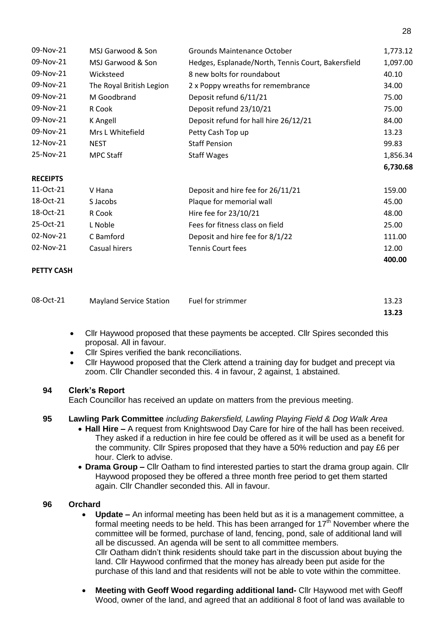| 09-Nov-21       | MSJ Garwood & Son        | Grounds Maintenance October                        | 1,773.12 |
|-----------------|--------------------------|----------------------------------------------------|----------|
| 09-Nov-21       | MSJ Garwood & Son        | Hedges, Esplanade/North, Tennis Court, Bakersfield | 1,097.00 |
| 09-Nov-21       | Wicksteed                | 8 new bolts for roundabout                         | 40.10    |
| 09-Nov-21       | The Royal British Legion | 2 x Poppy wreaths for remembrance                  | 34.00    |
| 09-Nov-21       | M Goodbrand              | Deposit refund 6/11/21                             | 75.00    |
| 09-Nov-21       | R Cook                   | Deposit refund 23/10/21                            | 75.00    |
| 09-Nov-21       | K Angell                 | Deposit refund for hall hire 26/12/21              | 84.00    |
| 09-Nov-21       | Mrs L Whitefield         | Petty Cash Top up                                  | 13.23    |
| 12-Nov-21       | <b>NEST</b>              | <b>Staff Pension</b>                               | 99.83    |
| 25-Nov-21       | <b>MPC Staff</b>         | <b>Staff Wages</b>                                 | 1,856.34 |
|                 |                          |                                                    | 6,730.68 |
| <b>RECEIPTS</b> |                          |                                                    |          |
| 11-Oct-21       | V Hana                   | Deposit and hire fee for 26/11/21                  | 159.00   |
| 18-Oct-21       | S Jacobs                 | Plaque for memorial wall                           | 45.00    |
| 18-Oct-21       | R Cook                   | Hire fee for 23/10/21                              | 48.00    |
| 25-Oct-21       | L Noble                  | Fees for fitness class on field                    | 25.00    |
| 02-Nov-21       | C Bamford                | Deposit and hire fee for 8/1/22                    | 111.00   |
| 02-Nov-21       | Casual hirers            | <b>Tennis Court fees</b>                           | 12.00    |
|                 |                          |                                                    | 400.00   |

#### **PETTY CASH**

| 08-Oct-21 | <b>Mayland Service Station</b> | Fuel for strimmer | 13.23 |
|-----------|--------------------------------|-------------------|-------|
|           |                                |                   | 13.23 |

- Cllr Haywood proposed that these payments be accepted. Cllr Spires seconded this proposal. All in favour.
- Cllr Spires verified the bank reconciliations.
- Cllr Haywood proposed that the Clerk attend a training day for budget and precept via zoom. Cllr Chandler seconded this. 4 in favour, 2 against, 1 abstained.

## **94 Clerk's Report**

Each Councillor has received an update on matters from the previous meeting.

- **95 Lawling Park Committee** *including Bakersfield, Lawling Playing Field & Dog Walk Area*
	- Hall Hire A request from Knightswood Day Care for hire of the hall has been received. They asked if a reduction in hire fee could be offered as it will be used as a benefit for the community. Cllr Spires proposed that they have a 50% reduction and pay £6 per hour. Clerk to advise.
	- **Drama Group –** Cllr Oatham to find interested parties to start the drama group again. Cllr Haywood proposed they be offered a three month free period to get them started again. Cllr Chandler seconded this. All in favour.

## **96 Orchard**

- **Update –** An informal meeting has been held but as it is a management committee, a formal meeting needs to be held. This has been arranged for  $17<sup>th</sup>$  November where the committee will be formed, purchase of land, fencing, pond, sale of additional land will all be discussed. An agenda will be sent to all committee members. Cllr Oatham didn't think residents should take part in the discussion about buying the land. Cllr Haywood confirmed that the money has already been put aside for the purchase of this land and that residents will not be able to vote within the committee.
- **Meeting with Geoff Wood regarding additional land-** Cllr Haywood met with Geoff Wood, owner of the land, and agreed that an additional 8 foot of land was available to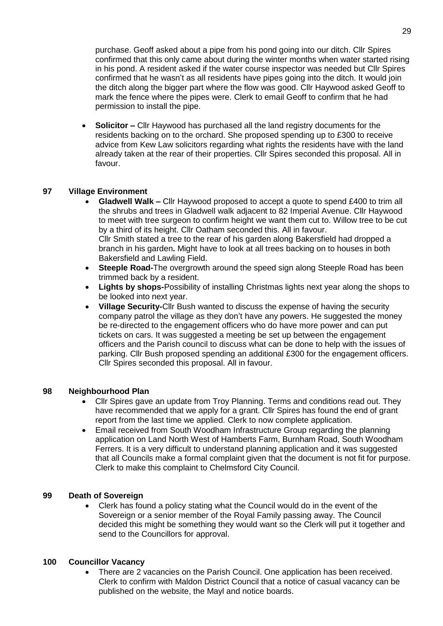purchase. Geoff asked about a pipe from his pond going into our ditch. Cllr Spires confirmed that this only came about during the winter months when water started rising in his pond. A resident asked if the water course inspector was needed but Cllr Spires confirmed that he wasn't as all residents have pipes going into the ditch. It would join the ditch along the bigger part where the flow was good. Cllr Haywood asked Geoff to mark the fence where the pipes were. Clerk to email Geoff to confirm that he had permission to install the pipe.

 **Solicitor –** Cllr Haywood has purchased all the land registry documents for the residents backing on to the orchard. She proposed spending up to £300 to receive advice from Kew Law solicitors regarding what rights the residents have with the land already taken at the rear of their properties. Cllr Spires seconded this proposal. All in favour.

## **97 Village Environment**

- **Gladwell Walk –** Cllr Haywood proposed to accept a quote to spend £400 to trim all the shrubs and trees in Gladwell walk adjacent to 82 Imperial Avenue. Cllr Haywood to meet with tree surgeon to confirm height we want them cut to. Willow tree to be cut by a third of its height. Cllr Oatham seconded this. All in favour. Cllr Smith stated a tree to the rear of his garden along Bakersfield had dropped a branch in his garden**.** Might have to look at all trees backing on to houses in both Bakersfield and Lawling Field.
- **Steeple Road-**The overgrowth around the speed sign along Steeple Road has been trimmed back by a resident.
- **Lights by shops-**Possibility of installing Christmas lights next year along the shops to be looked into next year.
- **Village Security-**Cllr Bush wanted to discuss the expense of having the security company patrol the village as they don't have any powers. He suggested the money be re-directed to the engagement officers who do have more power and can put tickets on cars. It was suggested a meeting be set up between the engagement officers and the Parish council to discuss what can be done to help with the issues of parking. Cllr Bush proposed spending an additional £300 for the engagement officers. Cllr Spires seconded this proposal. All in favour.

## **98 Neighbourhood Plan**

- Cllr Spires gave an update from Troy Planning. Terms and conditions read out. They have recommended that we apply for a grant. Cllr Spires has found the end of grant report from the last time we applied. Clerk to now complete application.
- Email received from South Woodham Infrastructure Group regarding the planning application on Land North West of Hamberts Farm, Burnham Road, South Woodham Ferrers. It is a very difficult to understand planning application and it was suggested that all Councils make a formal complaint given that the document is not fit for purpose. Clerk to make this complaint to Chelmsford City Council.

## **99 Death of Sovereign**

 Clerk has found a policy stating what the Council would do in the event of the Sovereign or a senior member of the Royal Family passing away. The Council decided this might be something they would want so the Clerk will put it together and send to the Councillors for approval.

## **100 Councillor Vacancy**

 There are 2 vacancies on the Parish Council. One application has been received. Clerk to confirm with Maldon District Council that a notice of casual vacancy can be published on the website, the Mayl and notice boards.